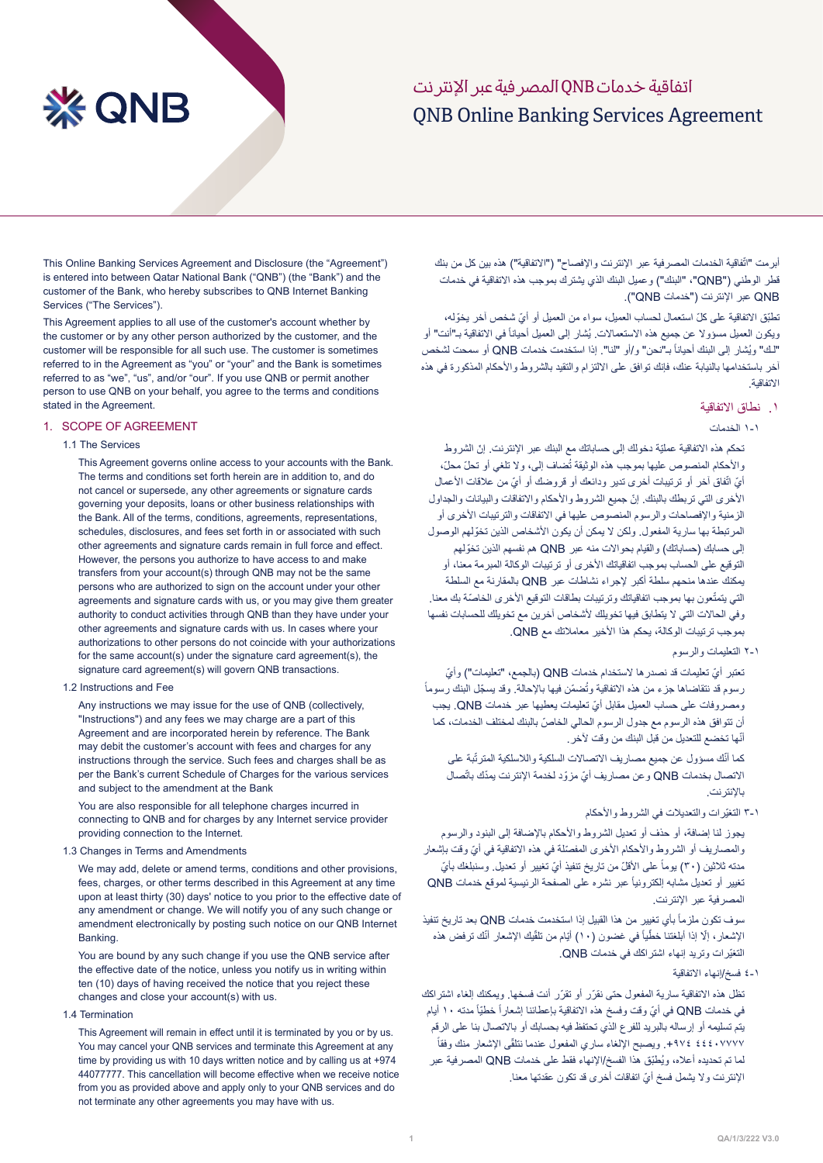# ONB Online Banking Services Agreement اتفاقية خدمات QNB المصرفية عبر اإلنترنت

# **XX QNB**

This Online Banking Services Agreement and Disclosure (the "Agreement") is entered into between Qatar National Bank ("QNB") (the "Bank") and the customer of the Bank, who hereby subscribes to QNB Internet Banking Services ("The Services").

This Agreement applies to all use of the customer's account whether by the customer or by any other person authorized by the customer, and the customer will be responsible for all such use. The customer is sometimes referred to in the Agreement as "you" or "your" and the Bank is sometimes referred to as "we", "us", and/or "our". If you use QNB or permit another person to use QNB on your behalf, you agree to the terms and conditions stated in the Agreement.

#### 1. SCOPE OF AGREEMENT

#### 1.1 The Services

This Agreement governs online access to your accounts with the Bank The terms and conditions set forth herein are in addition to, and do not cancel or supersede, any other agreements or signature cards governing your deposits, loans or other business relationships with the Bank. All of the terms, conditions, agreements, representations, schedules, disclosures, and fees set forth in or associated with such other agreements and signature cards remain in full force and effect. However, the persons you authorize to have access to and make transfers from your account(s) through QNB may not be the same persons who are authorized to sign on the account under your other agreements and signature cards with us, or you may give them greater authority to conduct activities through QNB than they have under your other agreements and signature cards with us. In cases where your authorizations to other persons do not coincide with your authorizations for the same  $account(s)$  under the signature card agreement(s), the signature card agreement(s) will govern QNB transactions.

#### 1.2 Instructions and Fee

Any instructions we may issue for the use of QNB (collectively, "Instructions") and any fees we may charge are a part of this Agreement and are incorporated herein by reference. The Bank may debit the customer's account with fees and charges for any instructions through the service. Such fees and charges shall be as per the Bank's current Schedule of Charges for the various services and subject to the amendment at the Bank

You are also responsible for all telephone charges incurred in connecting to QNB and for charges by any Internet service provider providing connection to the Internet.

#### 1.3 Changes in Terms and Amendments

We may add, delete or amend terms, conditions and other provisions, fees, charges, or other terms described in this Agreement at any time upon at least thirty (30) days' notice to you prior to the effective date of any amendment or change. We will notify you of any such change or amendment electronically by posting such notice on our QNB Internet .Banking

You are bound by any such change if you use the QNB service after the effective date of the notice, unless you notify us in writing within ten (10) days of having received the notice that you reject these  $chances$  and close your account(s) with us

#### 1.4 Termination

This Agreement will remain in effect until it is terminated by you or by us. You may cancel your QNB services and terminate this Agreement at any time by providing us with 10 days written notice and by calling us at  $+974$ 44077777. This cancellation will become effective when we receive notice from you as provided above and apply only to your QNB services and do not terminate any other agreements you may have with us.

ابرمت "اتّفاقية الخدمات المصرفية عبر الإنترنت والإفصاح" ("الاتفاقية") هذه بين كل من بنك قطر الوطني ("QNB"، "البنك") وعميل البنك الذي يشترك بموجب هذه الاتفاقية في خدمات QNB عبر اإلنترنت )"خدمات QNB)".

تطبّق الاتفاقية على كلّ استعمال لحساب العميل، سواء من العميل أو أيّ شخص آخر يخوّله، ريكون العميل مسؤولا عن جميع هذه الاستعمالات. يُشار إلى العميل أحياناً في الاتفاقية بـ"أنت" أو "لك" ويُشار إلى البنك أحياناً بـ"نحن" و/أو "لنا". إذا استخدمت خدمات QNB أو سمحت لشخص آخر باستخدامها بالنيابة عنك، فإنك توافق على االلتزام والتقيد بالشروط واألحكام المذكورة في هذه االتفاقية.

#### .1 نطاق االتفاقية

#### 1-1 الخدمات

تحكم هذه الاتفاقية عمليّة دخولك إلى حساباتك مع البنك عبر الإنترنت. إنّ الشروط رالأحكام المنصوص عليها بموجب هذه الوثيقة تُضاف إلى، ولا تلغي أو تحلّ محلّ، أيّ اتّفاق أخر أو ترتيبات أخرى تدير ودائعك أو قروضك أو أيّ من علاقات الأعمال ّ األخرى التي تربطك بالبنك. إن جميع الشروط واألحكام واالتفاقات والبيانات والجداول الزمنية واإلفصاحات والرسوم المنصوص عليها في االتفاقات والترتيبات األخرى أو ّ المرتبطة بها سارية المفعول. ولكن ال يمكن أن يكون األشخاص الذين تخولهم الوصول إلى حسابك (حساباتك) والقيام بحوالات منه عبر QNB هم نفسهم الذين تخولهم التوقيع على الحساب بموجب اتفاقياتك األخرى أو ترتيبات الوكالة المبرمة معنا، أو يمكنك عندها منحهم سلطة أكبر إلجراء نشاطات عبر QNB بالمقارنة مع السلطة لتي يتمتّعون بها بموجب اتفاقياتك وترتيبات بطاقات التوقيع الأخرى الخاصّة بك معنا. وفي الحالات التي لا يتطابق فيها تخويلك لأشخاص آخرين مع تخويلك للحسابات نفسها بموجب ترتيبات الوكالة، يحكم هذا األخير معامالتك مع QNB.

## 2-1 التعليمات والرسوم

تعتبر أيّ تعليمات قد نصدر ها لاستخدام خدمات QNB (بالجمع، "تعليمات") وأيّ ً رسوم قد نتقاضاها جزء من هذه الاتفاقية وتُضمّن فيها بالإحالة. وقد يسجّل البنك رسوماً ّ ومصروفات على حساب العميل مقابل أي تعليمات يعطيها عبر خدمات QNB. يجب ّ أن تتوافق هذه الرسوم مع جدول الرسوم الحالي الخاص بالبنك لمختلف الخدمات، كما أنّها تخضع للتعديل من قبل البنك من وقت لأخر .

كما أنّك مسؤول عن جميع مصـاريف الاتصـالات السلكية واللاسلكية المترتّبة على الاتصال بخدمات QNB وعن مصاريف أيّ مزوّد لخدمة الإنترنت يمدّك باتّصال باإلنترنت.

3-1 ّ التغيرات والتعديالت في الشروط واألحكام

يجوز لنا إضافة، أو حذف أو تعديل الشروط واألحكام باإلضافة إلى البنود والرسوم والمصاريف أو الشروط والأحكام الأخرى المفصّلة في هذه الاتفاقية في أيّ وقت بإشعار مدته ثلاثين (٣٠) يوماً على الأقلّ من تاريخ تنفيذ أيّ تغيير أو تعديل. وسنبلغك بأيّ نغيير أو تعديل مشابه الكترونياً عبر نشره على الصفحة الرئيسية لموقع خدمات QNB المصرفية عبر اإلنترنت.

سوف تكون ملزماً بأي تغيير من هذا القبيل إذا استخدمت خدمات QNB بعد تاريخ تنفيذ الإشعار ، إلّا إذا أبلغتنا خطّياً في غضون (١٠) أيّام من تلقّيك الإشعار أنّك ترفض هذه ّ التغيرات وتريد إنهاء اشتراكك في خدمات QNB.

4-1 فسخ/إنهاء االتفاقية

تظل هذه الاتفاقية سارية المفعول حتى نقرّر أو تقرّر أنت فسخها. ويمكنك إلغاء اشتراكك في خدمات QNB في أيّ وقت وفسخ هذه الاتفاقية بإعطائنا إشعاراً خطيّاً مدته ١٠ أيام يتم تسليمه أو إرساله بالبريد للفرع الذي تحتفظ فيه بحسابك أو باالتصال بنا على الرقم ً +٩٧٤ ٤٤٤ 1974. ويصبح الإلغاء ساري المفعول عندما نتلقّى الإشعار منك وفقاً ُ لما تم تحديده أعاله، وي ّطبق هذا الفسخ/اإلنهاء فقط على خدمات QNB المصرفية عبر ّ اإلنترنت وال يشمل فسخ أي اتفاقات أخرى قد تكون عقدتها معنا.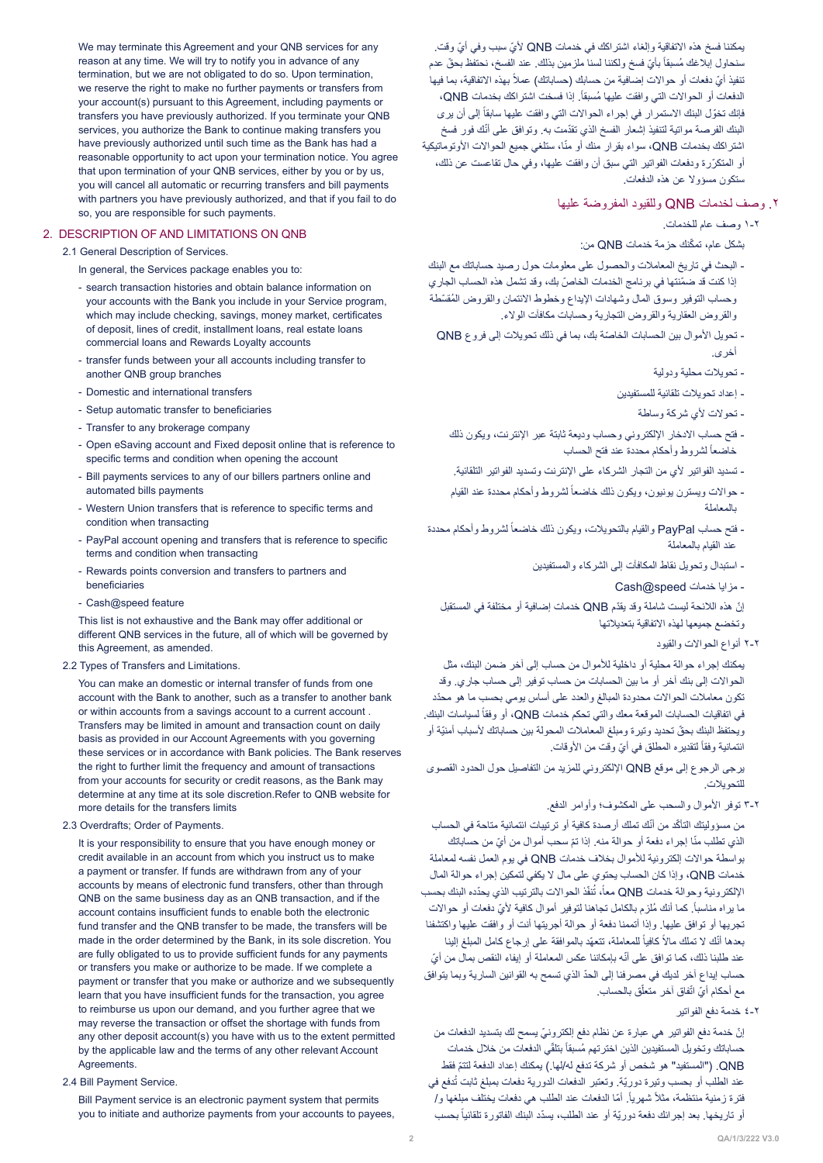We may terminate this Agreement and your QNB services for any reason at any time. We will try to notify you in advance of any termination, but we are not obligated to do so. Upon termination, we reserve the right to make no further payments or transfers from your account(s) pursuant to this Agreement, including payments or transfers you have previously authorized. If you terminate your QNB services, you authorize the Bank to continue making transfers you have previously authorized until such time as the Bank has had a reasonable opportunity to act upon your termination notice. You agree that upon termination of your QNB services, either by you or by us, you will cancel all automatic or recurring transfers and bill payments with partners you have previously authorized, and that if you fail to do so, you are responsible for such payments.

#### 2. DESCRIPTION OF AND LIMITATIONS ON QNB

2.1 General Description of Services

In general, the Services package enables you to:

- search transaction histories and obtain balance information on your accounts with the Bank you include in your Service program, which may include checking, savings, money market, certificates of deposit, lines of credit, installment loans, real estate loans commercial loans and Rewards Loyalty accounts
- transfer funds between your all accounts including transfer to another QNB group branches
- Domestic and international transfers
- Setup automatic transfer to beneficiaries
- Transfer to any brokerage company
- Open eSaving account and Fixed deposit online that is reference to specific terms and condition when opening the account
- Bill payments services to any of our billers partners online and automated bills payments
- Western Union transfers that is reference to specific terms and condition when transacting
- PayPal account opening and transfers that is reference to specific terms and condition when transacting
- Rewards points conversion and transfers to partners and beneficiaries
- Cash@speed feature

This list is not exhaustive and the Bank may offer additional or different QNB services in the future, all of which will be governed by this Agreement, as amended.

#### 2.2 Types of Transfers and Limitations.

You can make an domestic or internal transfer of funds from one account with the Bank to another, such as a transfer to another bank or within accounts from a savings account to a current account. Transfers may be limited in amount and transaction count on daily basis as provided in our Account Agreements with you governing these services or in accordance with Bank policies. The Bank reserves the right to further limit the frequency and amount of transactions from your accounts for security or credit reasons, as the Bank may determine at any time at its sole discretion. Refer to QNB website for more details for the transfers limits

2.3 Overdrafts; Order of Payments.

It is your responsibility to ensure that you have enough money or credit available in an account from which you instruct us to make a payment or transfer. If funds are withdrawn from any of your accounts by means of electronic fund transfers, other than through QNB on the same business day as an QNB transaction, and if the account contains insufficient funds to enable both the electronic fund transfer and the QNB transfer to be made, the transfers will be made in the order determined by the Bank, in its sole discretion. You are fully obligated to us to provide sufficient funds for any payments or transfers you make or authorize to be made. If we complete a payment or transfer that you make or authorize and we subsequently learn that you have insufficient funds for the transaction, you agree to reimburse us upon our demand, and you further agree that we may reverse the transaction or offset the shortage with funds from any other deposit account(s) you have with us to the extent permitted by the applicable law and the terms of any other relevant Account Agreements.

#### 2.4 Bill Payment Service.

Bill Payment service is an electronic payment system that permits you to initiate and authorize payments from your accounts to payees.

يمكننا فسخ هذه الاتفاقية وإلغاء اشتراكك في خدمات QNB لأيّ سبب وفي أيّ وقت. سنحاول ابلاغك مُسبقاً بأيّ فسخ ولكننا لسنا ملزمين بذلك. عند الفسخ، نحتفظ بحقّ عدم تنفيذ أيّ دفعات أو حوالات إضافية من حسابك (حساباتك) عملاً بهذه الاتفاقية، بما فيها الدفعات أو الحوالات التي وافقت عليها مُسبقاً<sub>.</sub> إذا فسخت اشتراكك بخدمات QNB، فإنك تخوّل البنك الاستمرار في إجراء الحوالات التي وافقت عليها سابقاً إلى أن يرى البنك الفرصـة مواتية لتنفيذ إشعار الفسخ الذي تقدّمت بـه. وتوافق علـى أنّك فور فسخ اشتراكك بخدمات QNB، سواء بقرار منك أو منّا، ستلغي جميع الحوالات الأوتوماتيكية ّ أو المتكررة ودفعات الفواتير التي سبق أن وافقت عليها، وفي حال تقاعست عن ذلك، ستكون مسؤوال عن هذه الدفعات.

# .2 وصف لخدمات QNB وللقيود المفروضة عليها

1-2 وصف عام للخدمات.

ّ بشكل عام، تمكنك حزمة خدمات QNB من:

- البحث في تاريخ المعامالت والحصول على معلومات حول رصيد حساباتك مع البنك إذا كنت قد ضمّنتها في برنامج الخدمات الخاصّ بك، وقد تشمل هذه الحساب الجاري وحساب التوفير وسوق المال وشهادات الإيداع وخطوط الائتمان والقروض المُقسّطة والقروض العقارية والقروض التجارية وحسابات مكافآت الوالء.
- تحويل الأموال بين الحسابات الخاصّة بك، بما في ذلك تحويلات إلى فروع QNB أخرى.
	- تحويالت محلية ودولية
	- إعداد تحويالت تلقائية للمستفيدين
		- تحولات لأي شركة وساطة
	- فتح حساب االدخار اإللكتروني وحساب وديعة ثابتة عبر اإلنترنت، ويكون ذلك خاضعأ لشروط وأحكام محددة عند فتح الحساب
	- تسديد الفواتير لأي من التجار الشركاء على الإنترنت وتسديد الفواتير التلقائية.
	- حوالات ويسترن يونيون، ويكون ذلك خاضعاً لشروط وأحكام محددة عند القيام بالمعاملة
- فتح حساب PayPal والقيام بالتحويلات، ويكون ذلك خاضعاً لشروط وأحكام محددة عند القيام بالمعاملة
	- استبدال وتحويل نقاط المكافآت إلى الشركاء والمستفيدين
		- مزايا خدمات Cash@speed
	- ّ إن ّ هذه الالئحة ليست شاملة وقد يقدم QNB خدمات إضافية أو مختلفة في المستقبل وتخضع جميعها لهذه االتفاقية بتعديالتها
		- 2-2 أنواع الحواالت والقيود

يمكنك إجراء حوالة محلية أو داخلية لألموال من حساب إلى آخر ضمن البنك، مثل الحواالت إلى بنك آخر أو ما بين الحسابات من حساب توفير إلى حساب جاري. وقد تكون معاملات الحوالات محدودة المبالغ والعدد على أساس يومي بحسب ما هو محدّد في اتفاقيات الحسابات الموقعة معك والتي تحكم خدمات QNB، أو وفقاً لسياسات البنك ّ ويحتفظ البنك بحق ّ تحديد وتيرة ومبلغ المعامالت المحولة بين حساباتك ألسباب أمنية أو ائتمانية وفقاً لتقديره المطلق في أيّ وقت من الأوقات.

يرجى الرجوع إلى موقع QNB اإللكتروني للمزيد من التفاصيل حول الحدود القصوى للتحويالت.

3-2 توفر األموال والسحب على المكشوف؛ وأوامر الدفع.

من مسؤوليتك التأكّد من أنّك تملك أرصدة كافية أو ترتيبات ائتمانية متاحة في الحساب الذي تطلب منّا إجراء دفعة أو حوالة منه. إذا تمّ سحب أموال من أيّ من حساباتك بواسطة حواالت إلكترونية لألموال بخالف خدمات QNB في يوم العمل نفسه لمعاملة خدمات QNB، وإذا كان الحساب يحتوي على مال ال يكفي لتمكين إجراء حوالة المال الإلكترونية وحوالة خدمات QNB معاً، تُنفّذ الحوالات بالترتيب الذي يحدّده البنك بحسب ما يراه مناسباً. كما أنك مُلزم بالكامل تجاهنا لتوفير أموال كافية لأيّ دفعات أو حوالات تجريها أو توافق عليها. وإذا أتممنا دفعة أو حوالة أجريتها أنت أو وافقت عليها واكتشفنا بعدها أنّك لا تملك مالاً كافياً للمعاملة، تتعهّد بالموافقة على إرجاع كامل المبلغ إلينا عند طلبنا ذلك، كما توافق على أنّه بإمكاننا عكس المعاملة أو إيفاء النقص بمال من أيّ ّ حساب إيداع آخر لديك في مصرفنا إلى الحد الذي تسمح به القوانين السارية وبما يتوافق مع أحكام أيّ اتّفاق آخر متعلّق بالحساب.

4-2 خدمة دفع الفواتير

ّ إن ّ خدمة دفع الفواتير هي عبارة عن نظام دفع إلكتروني يسمح لك بتسديد الدفعات من حساباتك وتخويل المستفيدين الذين اخترتهم مُسبقاً بتلقّي الدفعات من خلال خدمات QNB ّ ."( المستفيد" هو شخص أو شركة تدفع له/لها.( يمكنك إعداد الدفعة لتتم فقط عند الطلب أو بحسب وتيرة دوريّة. وتعتبر الدفعات الدورية دفعات بمبلغ ثابت تُدفع في فترة زمنية منتظمة، مثلاً شهرياً ٍ أمّا الدفعات عند الطلب هي دفعات يختلف مبلغها و/ أو تاريخها. بعد إجرائك دفعة دوريّة أو عند الطلب، يسدّد البنك الفاتورة تلقائياً بحسب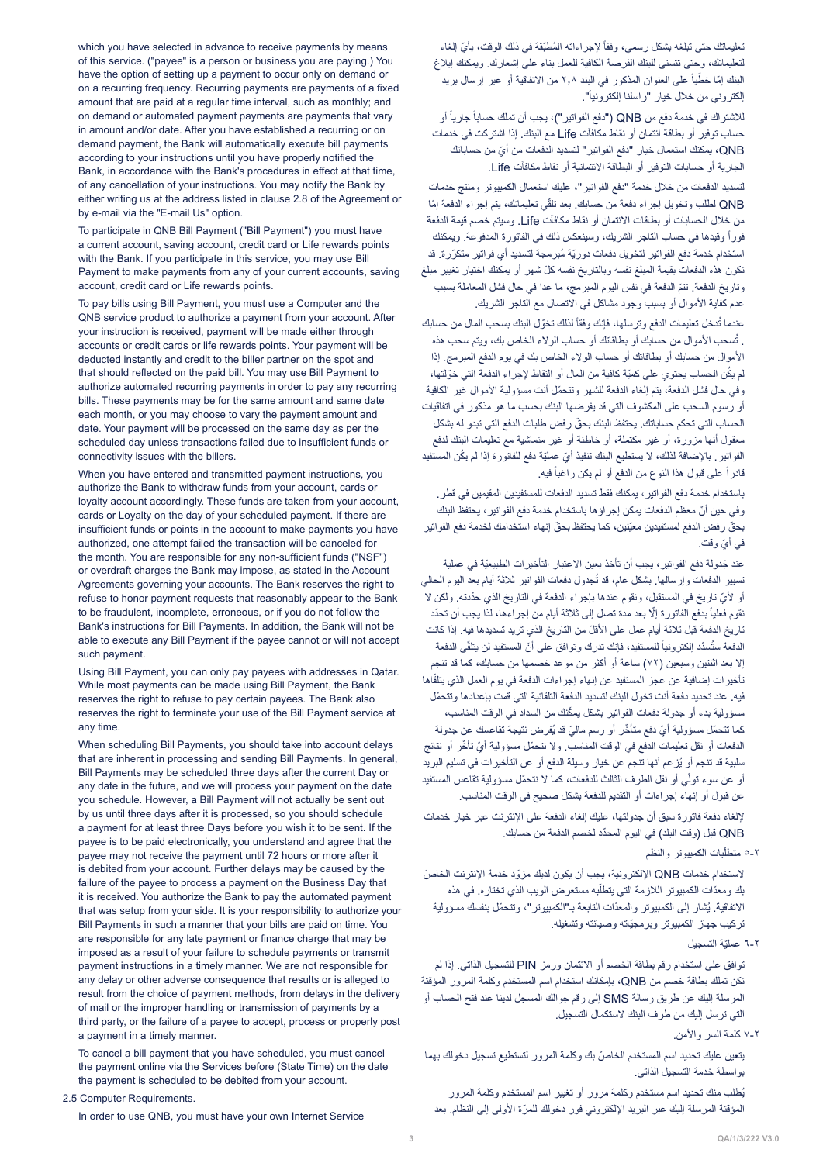which you have selected in advance to receive payments by means of this service. ("payee" is a person or business you are paying.) You have the option of setting up a payment to occur only on demand or on a recurring frequency. Recurring payments are payments of a fixed amount that are paid at a regular time interval such as monthly and on demand or automated payment payments are payments that vary in amount and/or date. After you have established a recurring or on demand payment, the Bank will automatically execute bill payments according to your instructions until you have properly notified the Bank, in accordance with the Bank's procedures in effect at that time. of any cancellation of your instructions. You may notify the Bank by either writing us at the address listed in clause 2.8 of the Agreement or by e-mail via the "E-mail Us" option.

To participate in QNB Bill Payment ("Bill Payment") you must have a current account, saving account, credit card or Life rewards points with the Bank. If you participate in this service, you may use Bill Payment to make payments from any of your current accounts, saving account, credit card or Life rewards points.

To pay bills using Bill Payment, you must use a Computer and the QNB service product to authorize a payment from your account. After your instruction is received, payment will be made either through accounts or credit cards or life rewards points. Your payment will be deducted instantly and credit to the biller partner on the spot and that should reflected on the paid bill. You may use Bill Payment to authorize automated recurring payments in order to pay any recurring bills. These payments may be for the same amount and same date each month, or you may choose to vary the payment amount and date. Your payment will be processed on the same day as per the scheduled day unless transactions failed due to insufficient funds or connectivity issues with the billers.

When you have entered and transmitted payment instructions, you authorize the Bank to withdraw funds from your account, cards or loyalty account accordingly. These funds are taken from your account. cards or Loyalty on the day of your scheduled payment. If there are insufficient funds or points in the account to make payments you have authorized, one attempt failed the transaction will be canceled for the month. You are responsible for any non-sufficient funds ("NSF") or overdraft charges the Bank may impose, as stated in the Account Agreements governing your accounts. The Bank reserves the right to refuse to honor payment requests that reasonably appear to the Bank to be fraudulent, incomplete, erroneous, or if you do not follow the Bank's instructions for Bill Payments. In addition, the Bank will not be able to execute any Bill Payment if the payee cannot or will not accept such payment.

Using Bill Payment, you can only pay payees with addresses in Qatar. While most payments can be made using Bill Payment, the Bank reserves the right to refuse to pay certain payees. The Bank also reserves the right to terminate your use of the Bill Payment service at any time.

When scheduling Bill Payments, you should take into account delays that are inherent in processing and sending Bill Payments. In general, Bill Payments may be scheduled three days after the current Day or any date in the future, and we will process your payment on the date vou schedule. However, a Bill Payment will not actually be sent out by us until three days after it is processed, so you should schedule a payment for at least three Days before you wish it to be sent. If the payee is to be paid electronically, you understand and agree that the payee may not receive the payment until 72 hours or more after it is debited from your account. Further delays may be caused by the failure of the payee to process a payment on the Business Day that it is received. You authorize the Bank to pay the automated payment that was setup from your side. It is your responsibility to authorize your Bill Payments in such a manner that your bills are paid on time. You are responsible for any late payment or finance charge that may be imposed as a result of your failure to schedule payments or transmit payment instructions in a timely manner. We are not responsible for any delay or other adverse consequence that results or is alleged to result from the choice of payment methods, from delays in the delivery of mail or the improper handling or transmission of payments by a third party, or the failure of a payee to accept, process or properly post a payment in a timely manner.

To cancel a bill payment that you have scheduled, you must cancel the payment online via the Services before (State Time) on the date the payment is scheduled to be debited from your account.

2.5 Computer Requirements.

In order to use QNB, you must have your own Internet Service

تعليماتك حتى تبلغه بشكل رسمي، وفقاً لإجراءاته المُطبّقة في ذلك الوقت، بأيّ إلغاء لتعليماتك، وحتى تتسنى للبنك الفرصة الكافية للعمل بناء على إشعارك. ويمكنك إبالغ البنك إمّا خطّياً على العنوان المذكور في البند ٢,٨ من الاتفاقية أو عبر إرسال بريد إلكتروني من خلال خيار "راسلنا إلكترونياً".

للاشتراك في خدمة دفع من QNB ("دفع الفواتير")، يجب أن تملك حساباً جارياً أو حساب توفير أو بطاقة ائتمان أو نقاط مكافآت Life مع البنك. إذا اشتركت في خدمات QNB ّ ، يمكنك استعمال خيار "دفع الفواتير" لتسديد الدفعات من أي من حساباتك الجارية أو حسابات التوفير أو البطاقة االئتمانية أو نقاط مكافآت Life.

لتسديد الدفعات من خالل خدمة "دفع الفواتير"، عليك استعمال الكمبيوتر ومنتج خدمات QNB لطلب وتخويل إجراء دفعة من حسابك. بعد تلقّي تعليماتك، يتم إجراء الدفعة إمّا من خالل الحسابات أو بطاقات االئتمان أو نقاط مكافآت Life. وسيتم خصم قيمة الدفعة ً وقيدها في حساب التاجر الشريك، وسينعكس ذلك في الفاتورة المدفوعة. ويمكنك فورا استخدام خدمة دفع الفواتير لتخويل دفعات دوريّة مُبرمجة لتسديد أي فواتير متكرّرة. قد ّ تكون هذه الدفعات بقيمة المبلغ نفسه وبالتاريخ نفسه كل شهر أو يمكنك اختيار تغيير مبلغ ّ وتاريخ الدفعة. تتم الدفعة في نفس اليوم المبرمج، ما عدا في حال فشل المعاملة بسبب عدم كفاية الأموال أو بسبب وجود مشاكل في الاتصال مع التاجر الشريك.

عندما تُدخل تعليمات الدفع وترسلها، فإنك وفقاً لذلك تخوّل البنك بسحب المال من حسابك . تُسحب الأموال من حسابك أو بطاقاتك أو حساب الولاء الخاص بك، ويتم سحب هذه األموال من حسابك أو بطاقاتك أو حساب الوالء الخاص بك في يوم الدفع المبرمج. إذا لم يكُن الحساب يحتو ي على كميّة كافية من المال أو النقاط لإجر اء الدفعة التي خوّ لتها، ّ وفي حال فشل الدفعة، يتم إلغاء الدفعة للشهر وتتحمل أنت مسؤولية األموال غير الكافية أو رسوم السحب على المكشوف التي قد يفرضها البنك بحسب ما هو مذكور في اتفاقيات ّ الحساب التي تحكم حساباتك. يحتفظ البنك بحق رفض طلبات الدفع التي تبدو له بشكل معقول أنها مزورة، أو غير مكتملة، أو خاطئة أو غير متماشية مع تعليمات البنك لدفع الفواتير. بالإضافة لذلك، لا يستطيع البنك تنفيذ أيّ عمليّة دفع للفاتورة إذا لم يكُن المستفيد قادراً على قبول هذا النوع من الدفع أو لم يكن راغبأ فيه.

باستخدام خدمة دفع الفواتير، يمكنك فقط تسديد الدفعات للمستفيدين المقيمين في قطر. ّ وفي حين أن معظم الدفعات يمكن إجراؤها باستخدام خدمة دفع الفواتير، يحتفظ البنك بحقّ رفض الدفع لمستفيدين معيّنين، كما يحتفظ بحقّ إنهاء استخدامك لخدمة دفع الفواتير ّ في أي وقت.

عند جَدولة دفع الفواتير ، يجب أن تأخذ بعين الاعتبار التأخيرات الطبيعيّة في عملية تسيير الدفعات وإرسالها. بشكل عام، قد تُجدول دفعات الفواتير ثلاثة أيام بعد اليوم الحالي أو لأيّ تاريخ في المستقبل، ونقوم عندها بإجراء الدفعة في التاريخ الذي حدّدته. ولكن لا نقوم فعلياً بدفع الفاتورة إلّا بعد مدة تصل إلى ثلاثة أيام من إجراءها، لذا يجب أن تحدّد تاريخ الدفعة قبل ثلاثة أيام عمل على الأقلّ من التاريخ الذي تريد تسديدها فيه. إذا كانت الدفعة ستُسدّد إلكترونياً للمستفيد، فإنك تدرك وتوافق على أنّ المستفيد لن يتلقّى الدفعة إال بعد اثنتين وسبعين )72( ساعة أو أكثر من موعد خصمها من حسابك، كما قد تنجم تأخير ات إضافية عن عجز المستفيد عن إنهاء إجر اءات الدفعة في يوم العمل الذي يتلقّاها ّ فيه. عند تحديد دفعة أنت تخول البنك لتسديد الدفعة التلقائية التي قمت بإعدادها وتتحمل ّ مسؤولية بدء أو جدولة دفعات الفواتير بشكل يمكنك من السداد في الوقت المناسب، كما تتحمّل مسؤولية أيّ دفع متأخّر أو رسم ماليّ قد يُفرض نتيجة تقاعسك عن جدولة الدفعات أو نقل تعليمات الدفع في الوقت المناسب. ولا نتحمّل مسؤولية أيّ تأخّر أو نتائج ُ سلبية قد تنجم أو يزعم أنها تنجم عن خيار وسيلة الدفع أو عن التأخيرات في تسليم البريد أو عن سوء تولّي أو نقل الطرف الثالث للدفعات، كما لا نتحمّل مسؤولية تقاعس المستفيد عن قبول أو إنهاء إجراءات أو التقديم للدفعة بشكل صحيح في الوقت المناسب.

إللغاء دفعة فاتورة سبق أن جدولتها، عليك إلغاء الدفعة على اإلنترنت عبر خيار خدمات QNB ّ قبل )وقت البلد( في اليوم المحدد لخصم الدفعة من حسابك.

ّبات الكمبيوتر والنظم 5-2 متطل

لاستخدام خدمات QNB الإلكترونية، يجب أن يكون لديك مزوّد خدمة الإنترنت الخاصّ بك ومعدّات الكمبيوتر اللازمة التي يتطلّبه مستعرض الويب الذي تختاره. في هذه الاتفاقية. يُشار إلى الكمبيوتر والمعدّات التابعة بـ"الكمبيوتر"، وتتحمّل بنفسك مسؤولية ّ تركيب جهاز الكمبيوتر وبرمجياته وصيانته وتشغيله.

6-2 ّ عملية التسجيل

توافق على استخدام رقم بطاقة الخصم أو االئتمان ورمز PIN للتسجيل الذاتي. إذا لم تكن تملك بطاقة خصم من QNB، بإمكانك استخدام اسم المستخدم وكلمة المرور المؤقتة المرسلة إليك عن طريق رسالة SMS إلى رقم جوالك المسجل لدينا عند فتح الحساب أو التي ترسل إليك من طرف البنك الستكمال التسجيل.

7-2 كلمة السر واألمن.

ّ يتعين عليك تحديد اسم المستخدم الخاص بك وكلمة المرور لتستطيع تسجيل دخولك بهما بواسطة خدمة التسجيل الذاتي.

ُيطلب منك تحديد اسم مستخدم وكلمة مرور أو تغيير اسم المستخدم وكلمة المرور المؤقتة المرسلة إليك عبر البريد الإلكتروني فور دخولك للمرّة الأولى إلى النظام. بعد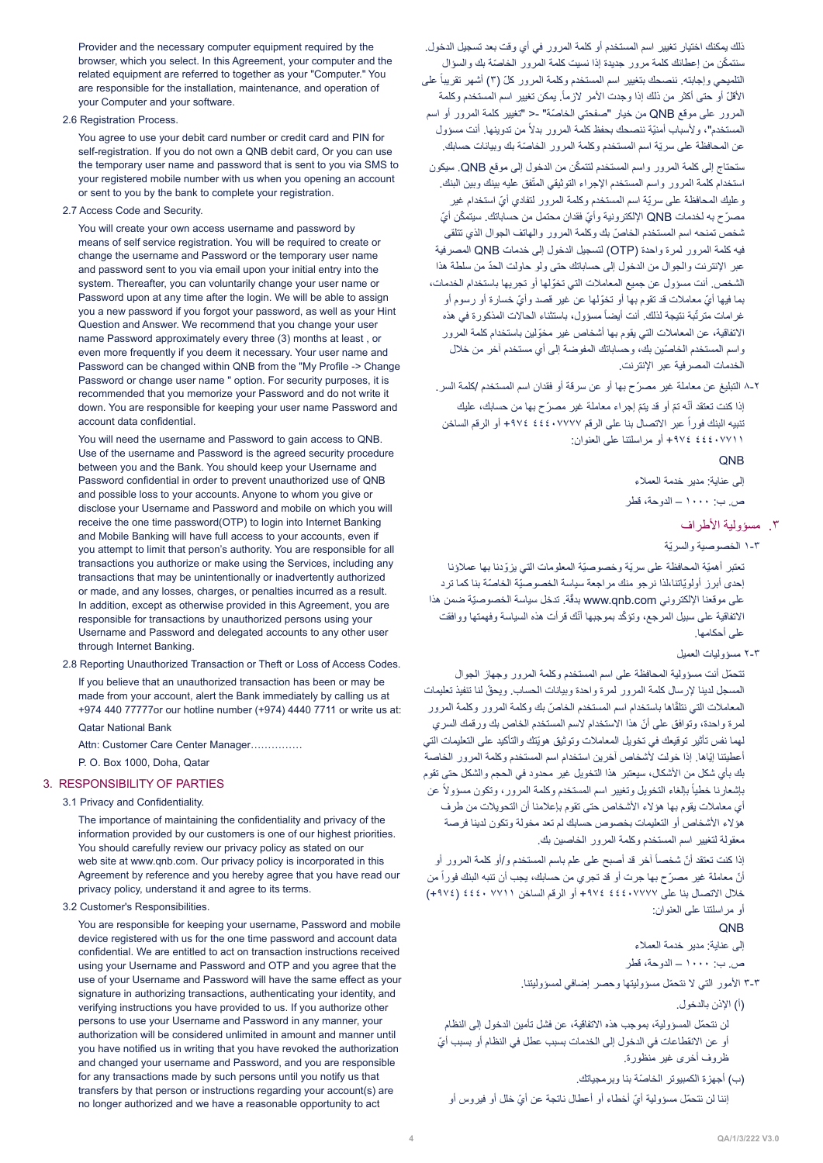Provider and the necessary computer equipment required by the browser, which you select. In this Agreement, your computer and the related equipment are referred to together as your "Computer." You are responsible for the installation, maintenance, and operation of your Computer and your software.

#### 2.6 Registration Process.

You agree to use your debit card number or credit card and PIN for self-registration. If you do not own a QNB debit card, Or you can use the temporary user name and password that is sent to you via SMS to vour registered mobile number with us when you opening an account or sent to you by the bank to complete your registration.

2.7 Access Code and Security

You will create your own access username and password by means of self service registration. You will be required to create or change the username and Password or the temporary user name and password sent to you via email upon your initial entry into the system. Thereafter, you can yoluntarily change your user name or Password upon at any time after the login. We will be able to assign you a new password if you forgot your password, as well as your Hint Question and Answer. We recommend that you change your user name Password approximately every three (3) months at least, or even more frequently if you deem it necessary. Your user name and Password can be changed within QNB from the "My Profile -> Change Password or change user name " option. For security purposes, it is recommended that you memorize your Password and do not write it down. You are responsible for keeping your user name Password and account data confidential.

You will need the username and Password to gain access to QNB. Use of the username and Password is the agreed security procedure between you and the Bank. You should keep your Username and Password confidential in order to prevent unauthorized use of QNB and possible loss to your accounts. Anyone to whom you give or disclose your Username and Password and mobile on which you will receive the one time password (OTP) to login into Internet Banking and Mobile Banking will have full access to your accounts, even if you attempt to limit that person's authority. You are responsible for all transactions you authorize or make using the Services, including any transactions that may be unintentionally or inadvertently authorized or made, and any losses, charges, or penalties incurred as a result. In addition, except as otherwise provided in this Agreement, you are responsible for transactions by unauthorized persons using your Username and Password and delegated accounts to any other user through Internet Banking.

2.8 Reporting Unauthorized Transaction or Theft or Loss of Access Codes.

If you believe that an unauthorized transaction has been or may be made from your account, alert the Bank immediately by calling us at +974 440 77777 or our hotline number (+974) 4440 7711 or write us at: **Oatar National Bank** 

Attn: Customer Care Center Manager..............

P. O. Box 1000, Doha, Qatar

#### 3. RESPONSIBILITY OF PARTIES

#### 3.1 Privacy and Confidentiality.

The importance of maintaining the confidentiality and privacy of the information provided by our customers is one of our highest priorities. You should carefully review our privacy policy as stated on our web site at www.qnb.com. Our privacy policy is incorporated in this Agreement by reference and you hereby agree that you have read our privacy policy, understand it and agree to its terms.

#### 3.2 Customer's Responsibilities.

You are responsible for keeping your username, Password and mobile device registered with us for the one time password and account data confidential. We are entitled to act on transaction instructions received using your Username and Password and OTP and you agree that the use of your Username and Password will have the same effect as your signature in authorizing transactions, authenticating your identity, and verifying instructions you have provided to us. If you authorize other persons to use your Username and Password in any manner, your authorization will be considered unlimited in amount and manner until you have notified us in writing that you have revoked the authorization and changed your username and Password, and you are responsible for any transactions made by such persons until you notify us that transfers by that person or instructions regarding your account(s) are no longer authorized and we have a reasonable opportunity to act

ذلك يمكنك اختيار تغيير اسم المستخدم أو كلمة المرور في أي وقت بعد تسجيل الدخول. سنتمكّن من إعطائك كلمة مرور جديدة إذا نسيت كلمة المرور الخاصّة بك والسؤال التلميحي وإجابته. ننصحك بتغيير اسم المستخدم وكلمة المرور كلّ (٣) أشهر تقريباً على الأقلّ أو حتى أكثر من ذلك إذا وجدت الأمر لازماً. يمكن تغيير اسم المستخدم وكلمة المرور على موقع QNB من خيار "صفحتي الخاصّة" -< "تغيير كلمة المرور أو اسم المستخدم"، ولأسباب أمنيّة ننصحك بحفظ كلمة المرور بدلاً من تدوينها. أنت مسؤول عن المحافظة على سريّة اسم المستخدم وكلمة المرور الخاصّة بك وبيانات حسابك.

ّ ستحتاج إلى كلمة المرور واسم المستخدم لتتمكن من الدخول إلى موقع QNB. سيكون استخدام كلمة المرور واسم المستخدم الإجراء التوثيقي المتّفق عليه بينك وبين البنك. وعليك المحافظة على سريّة اسم المستخدم وكلمة المرور لتفادي أيّ استخدام غير مصرّح به لخدمات QNB الإلكترونية وأيّ فقدان محتمل من حساباتك. سيتمكّن أيّ ّ شخص تمنحه اسم المستخدم الخاص بك وكلمة المرور والهاتف الجوال الذي تتلقى فيه كلمة المرور لمرة واحدة )OTP )لتسجيل الدخول إلى خدمات QNB المصرفية ّ عبر اإلنترنت والجوال من الدخول إلى حساباتك حتى ولو حاولت الحد من سلطة هذا ّ الشخص. أنت مسؤول عن جميع المعامالت التي تخولها أو تجريها باستخدام الخدمات، ّ بما فيها أي ّ معامالت قد تقوم بها أو تخو ّ لها عن غير قصد وأي خسارة أو رسوم أو غرامات مترتَّبة نتيجة لذلك. أنت أيضاً مسؤول، باستثناء الحالات المذكورة في هذه ّ االتفاقية، عن المعامالت التي يقوم بها أشخاص غير مخولين باستخدام كلمة المرور ّ واسم المستخدم الخاصين بك، وحساباتك المفوضة إلى أي مستخدم آخر من خالل الخدمات المصرفية عبر اإلنترنت.

8-2 ّ التبليغ عن معاملة غير مصرح بها أو عن سرقة أو فقدان اسم المستخدم /كلمة السر. إذا كنت تعتقد أنّه تمّ أو قد يتمّ إجراء معاملة غير مصرّح بها من حسابك، عليك تنبيه البنك فور أ عبر الاتصال بنا على الرقم ١٩٧٧/ ٤٤٤٠ +٩٧٤ أو الرقم الساخن 44407711 +974 أو مراسلتنا على العنوان:

## QNB

إلى عناية: مدير خدمة العمالء

ص. ب: 1000 – الدوحة، قطر

# .3 مسؤولية األطراف

1-3 ّ الخصوصية والسرية

تعتبر أهميّة المحافظة على سريّة وخصوصيّة المعلومات التي يزوّدنا بها عملاؤنا إحدى أبرز أولويّاتنا،لذا نرجو منك مراجعة سياسة الخصوصيّة الخاصّة بنا كما ترد على موقعنا الإلكتروني www.qnb.com بدقّة. تدخل سياسة الخصوصيّة ضمن هذا الاتفاقية على سبيل المرجع، وتؤكّد بموجبها أنّك قرأت هذه السياسة وفهمتها ووافقت على أحكامها.

#### 2-3 مسؤوليات العميل

ّ تتحمل أنت مسؤولية المحافظة على اسم المستخدم وكلمة المرور وجهاز الجوال ّ المسجل لدينا إلرسال كلمة المرور لمرة واحدة وبيانات الحساب. ويحق لنا تنفيذ تعليمات المعاملات التي نتلقّاها باستخدام اسم المستخدم الخاصّ بك وكلمة المرور وكلمة المرور ّ لمرة واحدة، وتوافق على أن هذا االستخدام السم المستخدم الخاص بك ورقمك السري ّ لهما نفس تأثير توقيعك في تخويل المعامالت وتوثيق هويتك والتأكيد على التعليمات التي أعطيتنا إيّاها. إذا خولت لأشخاص آخرين استخدام اسم المستخدم وكلمة المرور الخاصة بك بأي شكل من الأشكال، سيعتبر هذا التخويل غير محدود في الحجم والشكل حتى تقوم باشعارنا خطياً بالغاء التخويل وتغيير اسم المستخدم وكلمة المرور، وتكون مسؤولاً عن أي معامالت يقوم بها هؤالء األشخاص حتى تقوم بإعالمنا أن التحويالت من طرف هؤلاء الأشخاص أو التعليمات بخصوص حسابك لم تعد مخولة وتكون لدينا فرصة معقولة لتغيير اسم المستخدم وكلمة المرور الخاصين بك.

إذا كنت تعتقد أنّ شخصـاً أخر قد أصبح على علم باسم المستخدم و/أو كلمة المرور أو انّ معاملة غير مصرّح بها جرت أو قد تجري من حسابك، يجب أن تنبه البنك فور أ من خلال الاتصال بنا على 44777 + 416 £ 4444 أو الرقم الساخن 7711 + 4 £ 2 £ (447+) أو مراسلتنا على العنوان:

#### **ONB**

إلى عناية: مدير خدمة العمالء ص. ب: 1000 – الدوحة، قطر

3-3 ّ األمور التي ال نتحمل مسؤوليتها وحصر إضافي لمسؤوليتنا.

)أ( اإلذن بالدخول.

ّ لن نتحمل المسؤولية، بموجب هذه االتفاقية، عن فشل تأمين الدخول إلى النظام ّ أو عن االنقطاعات في الدخول إلى الخدمات بسبب عطل في النظام أو بسبب أي ظروف أخرى غير منظورة.

ّ )ب( أجهزة الكمبيوتر الخاصة بنا وبرمجياتك.

إننا لن نتحمّل مسؤولية أيّ أخطاء أو أعطال ناتجة عن أيّ خلل أو فيروس أو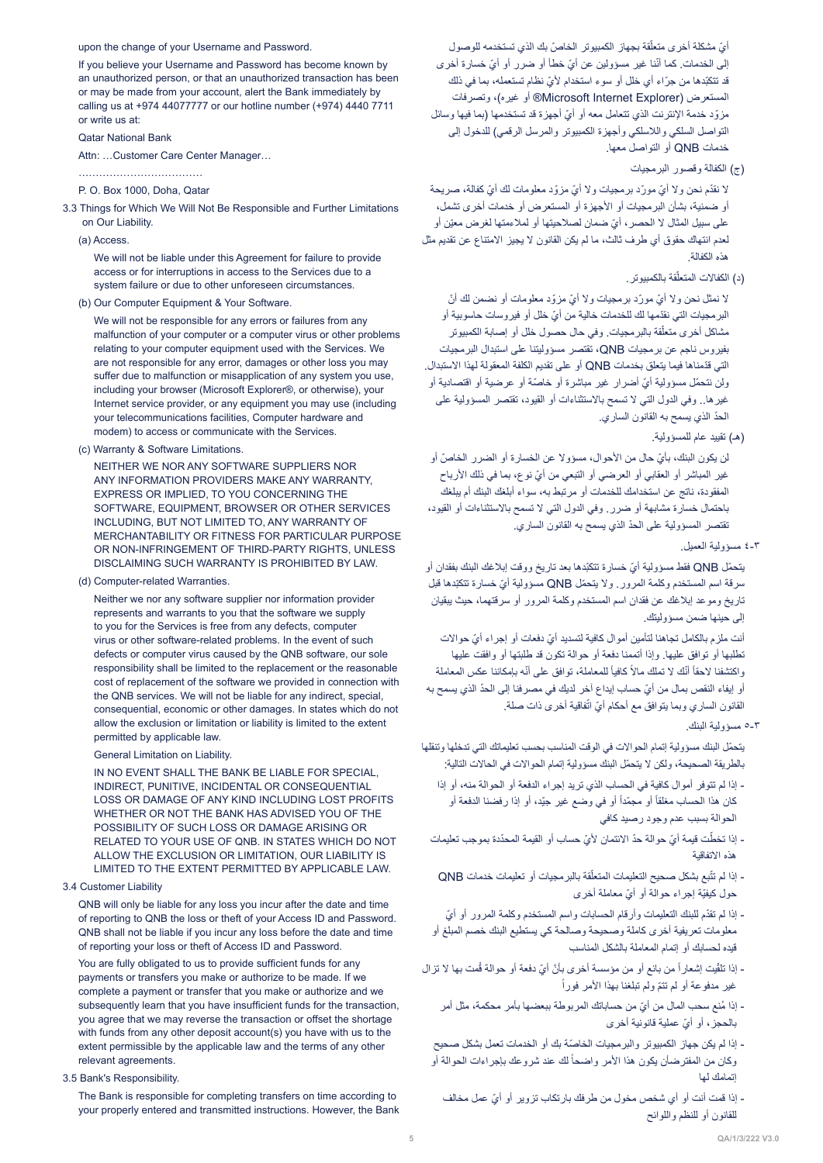#### upon the change of your Username and Password.

If you believe your Username and Password has become known by an unauthorized person, or that an unauthorized transaction has been or may be made from your account, alert the Bank immediately by calling us at +974 44077777 or our hotline number (+974) 4440 7711 or write us at:

#### **Oatar National Bank**

Attn: ...Customer Care Center Manager...

....................................

P. O. Box 1000, Doha, Qatar

- 3.3 Things for Which We Will Not Be Responsible and Further Limitations on Our Liability.
	- (a) Access

We will not be liable under this Agreement for failure to provide access or for interruptions in access to the Services due to a system failure or due to other unforeseen circumstances.

(b) Our Computer Equipment & Your Software.

We will not be responsible for any errors or failures from any malfunction of your computer or a computer virus or other problems relating to your computer equipment used with the Services. We are not responsible for any error, damages or other loss you may suffer due to malfunction or misapplication of any system you use, including your browser (Microsoft Explorer®, or otherwise), your Internet service provider, or any equipment you may use (including your telecommunications facilities, Computer hardware and modem) to access or communicate with the Services.

(c) Warranty & Software Limitations.

NEITHER WE NOR ANY SOFTWARE SUPPLIERS NOR ANY INFORMATION PROVIDERS MAKE ANY WARRANTY. EXPRESS OR IMPLIED. TO YOU CONCERNING THE SOFTWARE, EQUIPMENT, BROWSER OR OTHER SERVICES INCLUDING, BUT NOT LIMITED TO, ANY WARRANTY OF MERCHANTABILITY OR FITNESS FOR PARTICULAR PURPOSE OR NON-INFRINGEMENT OF THIRD-PARTY RIGHTS, UNLESS DISCLAIMING SUCH WARRANTY IS PROHIBITED BY LAW

(d) Computer-related Warranties.

Neither we nor any software supplier nor information provider represents and warrants to you that the software we supply to you for the Services is free from any defects, computer virus or other software-related problems. In the event of such defects or computer virus caused by the QNB software, our sole responsibility shall be limited to the replacement or the reasonable cost of replacement of the software we provided in connection with the ONB services. We will not be liable for any indirect, special consequential, economic or other damages. In states which do not allow the exclusion or limitation or liability is limited to the extent permitted by applicable law.

General Limitation on Liability.

IN NO EVENT SHALL THE BANK BE LIABLE FOR SPECIAL. INDIRECT, PUNITIVE, INCIDENTAL OR CONSEQUENTIAL LOSS OR DAMAGE OF ANY KIND INCLUDING LOST PROFITS WHETHER OR NOT THE BANK HAS ADVISED YOU OF THE POSSIBILITY OF SUCH LOSS OR DAMAGE ARISING OR RELATED TO YOUR USE OF ONB. IN STATES WHICH DO NOT ALLOW THE EXCLUSION OR LIMITATION, OUR LIABILITY IS LIMITED TO THE EXTENT PERMITTED BY APPLICABLE LAW.

#### 3.4 Customer Liability

QNB will only be liable for any loss you incur after the date and time of reporting to QNB the loss or theft of your Access ID and Password. QNB shall not be liable if you incur any loss before the date and time of reporting your loss or theft of Access ID and Password.

You are fully obligated to us to provide sufficient funds for any payments or transfers you make or authorize to be made. If we complete a payment or transfer that you make or authorize and we subsequently learn that you have insufficient funds for the transaction. you agree that we may reverse the transaction or offset the shortage with funds from any other deposit account(s) you have with us to the extent permissible by the applicable law and the terms of any other relevant agreements.

#### 3.5 Bank's Responsibility.

The Bank is responsible for completing transfers on time according to your properly entered and transmitted instructions. However, the Bank

ايّ مشكلة أخرى متعلّقة بجهاز الكمبيوتر الخاصّ بك الذي تستخدمه للوصول إلى الخدمات. كما أنّنا غير مسؤولين عن أيّ خطأ أو ضرر أو أيّ خسارة أخرى قد تتكبّدها من جرّاء أي خلل أو سوء استخدام لأيّ نظام تستعمله، بما في ذلك المستعرض )Explorer Internet Microsoft ®أو غيره(، وتصرفات مزوّد خدمة الإنترنت الذي تتعامل معه أو أيّ أجهزة قد تستخدمها (بما فيها وسائل التواصل السلكي واللاسلكي وأجهزة الكمبيوتر والمرسل الرقمي) للدخول إلى خدمات QNB أو التواصل معها.

)ج( الكفالة وقصور البرمجيات

لا نقدّم نحن ولا أيّ مورّد برمجيات ولا أيّ مزوّد معلومات لك أيّ كفالة، صريحة أو ضمنية، بشأن البرمجيات أو األجهزة أو المستعرض أو خدمات أخرى تشمل، ّ على سبيل المثال ال الحصر، أي ّ ضمان لصالحيتها أو لمالءمتها لغرض معين أو لعدم انتهاك حقوق أي طرف ثالث، ما لم يكن القانون ال يجيز االمتناع عن تقديم مثل هذه الكفالة.

(د) الكفالات المتعلّقة بالكمبيوتر .

ّ ال نمثل نحن وال أي ّ مور ّ د برمجيات وال أي ّ مزو ّ د معلومات أو نضمن لك أن البر مجيات التي نقدّمها لك للخدمات خالية من أيّ خلل أو فيروسات حاسوبية أو مشاكل أخرى متعلّقة بالبرمجيات. وفي حال حصول خلل أو إصابة الكمبيوتر بفيروس ناجم عن برمجيات QNB، تقتصر مسؤوليتنا على استبدال البرمجيات ّ التي قدمناها فيما يتعلق بخدمات QNB أو على تقديم الكلفة المعقولة لهذا االستبدال. ولن نتحمّل مسؤولية أيّ أضرار غير مباشرة أو خاصّة أو عرضية أو اقتصادية أو غيرها.. وفي الدول التي ال تسمح باالستثناءات أو القيود، تقتصر المسؤولية على ّ الحد الذي يسمح به القانون الساري.

)هـ( تقييد عام للمسؤولية.

ّ لن يكون البنك، بأي ّ حال من األحوال، مسؤوال عن الخسارة أو الضرر الخاص أو غير المباشر أو العقابي أو العرضي أو التبعي من أيّ نوع، بما في ذلك الأرباح المفقودة، ناتج عن استخدامك للخدمات أو مرتبط به، سواء أبلغك البنك أم يبلغك باحتمال خسارة مشابهة أو ضرر. وفي الدول التي ال تسمح باالستثناءات أو القيود، ّ تقتصر المسؤولية على الحد الذي يسمح به القانون الساري.

4-3 مسؤولية العميل.

ّ يتحمل QNB ّ فقط مسؤولية أي ّ خسارة تتكبدها بعد تاريخ ووقت إبالغك البنك بفقدان أو ّ سرقة اسم المستخدم وكلمة المرور. وال يتحمل QNB ّ مسؤولية أي ّ خسارة تتكبدها قبل تاريخ وموعد إبالغك عن فقدان اسم المستخدم وكلمة المرور أو سرقتهما، حيث يبقيان إلى حينها ضمن مسؤوليتك.

ّ أنت ملزم بالكامل تجاهنا لتأمين أموال كافية لتسديد أي ّ دفعات أو إجراء أي حواالت تطلبها أو توافق عليها. وإذا أتممنا دفعة أو حوالة تكون قد طلبتها أو وافقت عليها راكتشفنا لاحقاً أنّك لا تملك مالاً كافياً للمعاملة، توافق على أنّه بإمكاننا عكس المعاملة ّ أو إيفاء النقص بمال من أي ّ حساب إيداع آخر لديك في مصرفنا إلى الحد الذي يسمح به القانون الساري وبما يتوافق مع أحكام أيّ اتّفاقية أخرى ذات صلة.

5-3 مسؤولية البنك.

ّ يتحمل البنك مسؤولية إتمام الحواالت في الوقت المناسب بحسب تعليماتك التي تدخلها وتنقلها بالطريقة الصحيحة، ولكن لا يتحمّل البنك مسؤولية إتمام الحوالات في الحالات التالية:

- إذا لم تتوفر أموال كافية في الحساب الذي تريد إجراء الدفعة أو الحوالة منه، أو إذا كان هذا الحساب مغلقاً أو مجمّداً أو في وضع غير جيّد، أو إذا رفضنا الدفعة أو الحوالة بسبب عدم وجود رصيد كافي
- إذا تخطَّت قيمة أيّ حوالة حدّ الائتمان لأيّ حساب أو القيمة المحدّدة بموجب تعليمات هذه االتفاقية
- إذا لم تتّبع بشكل صحيح التعليمات المتعلّقة بالبرمجيات أو تعليمات خدمات QNB حول كيفيّة إجراء حوالة أو أيّ معاملة أخرى
- ّ إذا لم تقد ّ م للبنك التعليمات وأرقام الحسابات واسم المستخدم وكلمة المرور أو أي معلومات تعريفية أخرى كاملة وصحيحة وصالحة كي يستطيع البنك خصم المبلغ أو قيده لحسابك أو إتمام المعاملة بالشكل المناسب
- إذا تلقّيت إشعار أ من بائع أو من مؤسسة أخرى بأنّ أيّ دفعة أو حوالة قُمت بها لا تزال غير مدفوعة أو لم تتمّ ولم تبلغنا بهذا الأمر فوراً
	- إذا مُنع سحب المال من أيّ من حساباتك المر بوطة ببعضها بأمر محكمة، مثل أمر ّ بالحجز، أو أي عملية قانونية أخرى
	- ّ إذا لم يكن جهاز الكمبيوتر والبرمجيات الخاصة بك أو الخدمات تعمل بشكل صحيح ركان من المفترضأن يكون هذا الأمر واضحاً لك عند شروعك بإجراءات الحوالة أو إتمامك لها
		- ّ إذا قمت أنت أو أي شخص مخول من طرفك بارتكاب تزوير أو أي عمل مخالف للقانون أو للنظم واللوائح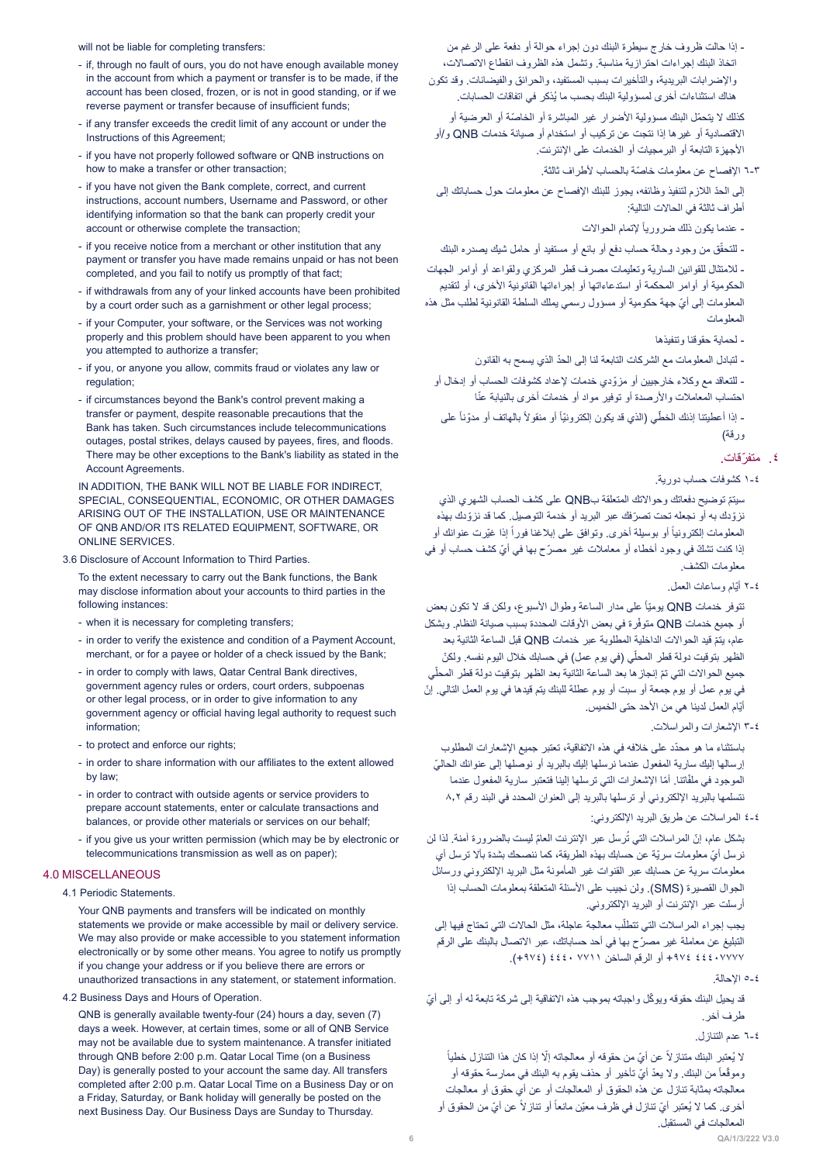will not be liable for completing transfers:

- if, through no fault of ours, you do not have enough available money in the account from which a payment or transfer is to be made, if the account has been closed, frozen, or is not in good standing, or if we reverse payment or transfer because of insufficient funds;
- if any transfer exceeds the credit limit of any account or under the Instructions of this Agreement:
- if you have not properly followed software or QNB instructions on how to make a transfer or other transaction;
- if you have not given the Bank complete, correct, and current instructions, account numbers, Username and Password, or other identifying information so that the bank can properly credit your account or otherwise complete the transaction;
- if you receive notice from a merchant or other institution that any payment or transfer you have made remains unpaid or has not been completed, and you fail to notify us promptly of that fact;
- if withdrawals from any of your linked accounts have been prohibited by a court order such as a garnishment or other legal process;
- if your Computer, your software, or the Services was not working properly and this problem should have been apparent to you when you attempted to authorize a transfer;
- if you, or anyone you allow, commits fraud or violates any law or regulation;
- if circumstances beyond the Bank's control prevent making a transfer or payment, despite reasonable precautions that the Bank has taken. Such circumstances include telecommunications outages, postal strikes, delays caused by payees, fires, and floods. There may be other exceptions to the Bank's liability as stated in the Account Agreements

IN ADDITION. THE BANK WILL NOT BE LIABLE FOR INDIRECT. SPECIAL, CONSEQUENTIAL, ECONOMIC, OR OTHER DAMAGES ARISING OUT OF THE INSTALLATION, USE OR MAINTENANCE OF QNB AND/OR ITS RELATED EQUIPMENT, SOFTWARE, OR ONLINE SERVICES.

3.6 Disclosure of Account Information to Third Parties

To the extent necessary to carry out the Bank functions, the Bank may disclose information about your accounts to third parties in the following instances:

- when it is necessary for completing transfers;
- in order to verify the existence and condition of a Payment Account, merchant, or for a payee or holder of a check issued by the Bank;
- in order to comply with laws. Qatar Central Bank directives. government agency rules or orders, court orders, subpoenas or other legal process, or in order to give information to any government agency or official having legal authority to request such information:
- to protect and enforce our rights:
- in order to share information with our affiliates to the extent allowed hy law
- in order to contract with outside agents or service providers to prepare account statements, enter or calculate transactions and balances, or provide other materials or services on our behalf;
- if you give us your written permission (which may be by electronic or telecommunications transmission as well as on paper);

#### 4.0 MISCELLANEOUS

#### 4.1 Periodic Statements

Your QNB payments and transfers will be indicated on monthly statements we provide or make accessible by mail or delivery service. We may also provide or make accessible to you statement information electronically or by some other means. You agree to notify us promptly if you change your address or if you believe there are errors or unauthorized transactions in any statement, or statement information.

4.2 Business Days and Hours of Operation.

QNB is generally available twenty-four (24) hours a day, seven (7) days a week. However, at certain times, some or all of QNB Service may not be available due to system maintenance. A transfer initiated through QNB before 2:00 p.m. Qatar Local Time (on a Business Day) is generally posted to your account the same day. All transfers completed after 2:00 p.m. Qatar Local Time on a Business Day or on a Friday. Saturday, or Bank holiday will generally be posted on the next Business Day. Our Business Days are Sunday to Thursday.

- إذا حالت ظروف خارج سيطرة البنك دون إجراء حوالة أو دفعة على الرغم من اتخاذ البنك إجراءات احترازية مناسبة. وتشمل هذه الظروف انقطاع االتصاالت، واإلضرابات البريدية، والتأخيرات بسبب المستفيد، والحرائق والفيضانات. وقد تكون ُ هناك استثناءات أخرى لمسؤولية البنك بحسب ما يذكر في اتفاقات الحسابات.

كذلك لا يتحمّل البنك مسؤولية الأضرار غير المباشرة أو الخاصّة أو العرضية أو االقتصادية أو غيرها إذا نتجت عن تركيب أو استخدام أو صيانة خدمات QNB و/أو األجهزة التابعة أو البرمجيات أو الخدمات على اإلنترنت.

6-3 ّ اإلفصاح عن معلومات خاصة بالحساب ألطراف ثالثة.

ّ إلى الحد الالزم لتنفيذ وظائفه، يجوز للبنك اإلفصاح عن معلومات حول حساباتك إلى أطراف ثالثة في الحاالت التالية:

- عندما يكون ذلك ضرورياً لإتمام الحوالات

ّق من وجود وحالة حساب دفع أو بائع أو مستفيد أو حامل شيك يصدره البنك - للتحق

- لالمتثال للقوانين السارية وتعليمات مصرف قطر المركزي ولقواعد أو أوامر الجهات الحكومية أو أوامر المحكمة أو استدعاءاتها أو إجراءاتها القانونية األخرى، أو لتقديم ّ المعلومات إلى أي جهة حكومية أو مسؤول رسمي يملك السلطة القانونية لطلب مثل هذه المعلومات

- لحماية حقوقنا وتنفيذها

ّ - لتبادل المعلومات مع الشركات التابعة لنا إلى الحد الذي يسمح به القانون

ّ - للتعاقد مع وكالء خارجيين أو مزودي خدمات إلعداد كشوفات الحساب أو إدخال أو احتساب المعاملات والأرصدة أو توفير مواد أو خدمات أخرى بالنيابة عنّا

- إذا أعطيتنا إذنك الخطّي (الذي قد يكون إلكترونيّاً أو منقولاً بالهاتف أو مدوّناً على ورقة)

# .٤ ّ متفرقات.

1-4 كشوفات حساب دورية.

ّ سيتم توضيح دفعاتك وحواالتك المتعلقة بQNB على كشف الحساب الشهري الذي نزوّدك به أو نجعله تحت تصرّفك عبر البريد أو خدمة التوصيل. كما قد نزوّ دك بهذه المعلومات الكترونياً أو بوسيلة أخرى وتوافق على إبلاغنا فوراً إذا غيّرت عنوانك أو ّ إذا كنت تشك ّ في وجود أخطاء أو معامالت غير مصر ّ ح بها في أي كشف حساب أو في معلومات الكشف.

2-4 ّ أيام وساعات العمل.

تتوفر خدمات QNB بومنيًا على مدار الساعة وطوال الأسبوع، ولكن قد لا تكون بعض لو جميع خدمات QNB متوفّرة في بعض الأوقات المحددة بسبب صيانة النظام. وبشكل ّ عام، يتم قيد الحواالت الداخلية المطلوبة عبر خدمات QNB قبل الساعة الثانية بعد الظهر بتوقيت دولة قطر المحلّي (في يوم عمل) في حسابك خلال اليوم نفسه. ولكنّ جميع الحوالات التي تمّ إنجاز ها بعد الساعة الثانية بعد الظهر بتوقيت دولة قطر المحلّي ّ في يوم عمل أو يوم جمعة أو سبت أو يوم عطلة للبنك يتم قيدها في يوم العمل التالي. إن أيّام العمل لدينا هي من الأحد حتى الخميس.

3-4 اإلشعارات والمراسالت.

ّ باستثناء ما هو محدد على خالفه في هذه االتفاقية، تعتبر جميع اإلشعارات المطلوب ّ إرسالها إليك سارية المفعول عندما نرسلها إليك بالبريد أو نوصلها إلى عنوانك الحالي الموجود في ملفّاتنا. أمّا الإشعارات التي ترسلها إلينا فتعتبر سارية المفعول عندما نتسلمها بالبريد اإللكتروني أو ترسلها بالبريد إلى العنوان المحدد في البند رقم 8.2

4-4 المراسالت عن طريق البريد اإللكتروني:

ُبَشْكل عام، إنّ المراسلات التي تُرسل عبر الإنترنت العامّ ليست بالضرورة أمنة. لذا لن ّ نرسل أي ّ معلومات سرية عن حسابك بهذه الطريقة، كما ننصحك بشدة بأال ترسل أي معلومات سرية عن حسابك عبر القنوات غير المأمونة مثل البريد اإللكتروني ورسائل الجوال القصيرة )SMS). ولن نجيب على األسئلة المتعلقة بمعلومات الحساب إذا أرسلت عبر اإلنترنت أو البريد اإللكتروني.

بجب إجراء المراسلات التي تتطلّب معالجة عاجلة، مثل الحالات التي تحتاج فيها إلى ّ التبليغ عن معاملة غير مصرح بها في أحد حساباتك، عبر االتصال بالبنك على الرقم 44407777 +974 أو الرقم الساخن 7711 4440 )+974(.

5-4 اإلحالة.

قد يحيل البنك حقوقه ويوكّل واجباته بموجب هذه الاتفاقية إلى شركة تابعة له أو إلى أيّ طرف آخر.

6-4 عدم التنازل.

لا يُعتبر البنك متناز لاً عن أيّ من حقوقه أو معالجاته إلّا إذا كان هذا التنازل خطياً رموقّعاً من البنك. ولا يعدّ أيّ تأخير أو حذف يقوم به البنك في ممارسة حقوقه أو معالجاته بمثابة تنازل عن هذه الحقوق أو المعالجات أو عن أي حقوق أو معالجات أخرى. كما لا يُعتبر أيّ تنازل في ظرف معيّن مانعاً أو تناز لاً عن أيّ من الحقوق أو المعالجات في المستقبل.